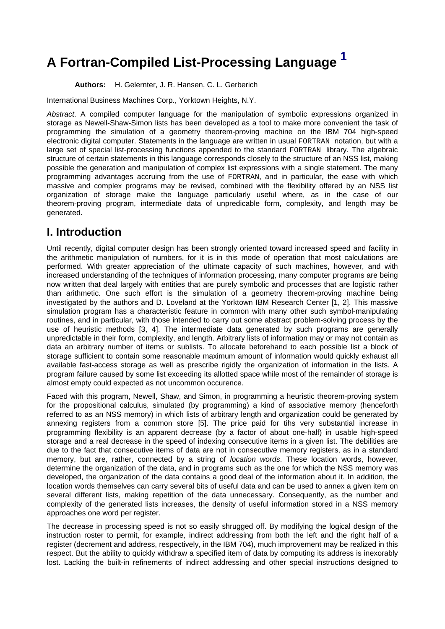# **A Fortran-Compiled List-Processing Language [1](#page-10-0)**

<span id="page-0-0"></span>**Authors:** H. Gelernter, J. R. Hansen, C. L. Gerberich

International Business Machines Corp., Yorktown Heights, N.Y.

Abstract. A compiled computer language for the manipulation of symbolic expressions organized in storage as Newell-Shaw-Simon lists has been developed as a tool to make more convenient the task of programming the simulation of a geometry theorem-proving machine on the IBM 704 high-speed electronic digital computer. Statements in the language are written in usual FORTRAN notation, but with a large set of special list-processing functions appended to the standard FORTRAN library. The algebraic structure of certain statements in this language corresponds closely to the structure of an NSS list, making possible the generation and manipulation of complex list expressions with a single statement. The many programming advantages accruing from the use of FORTRAN, and in particular, the ease with which massive and complex programs may be revised, combined with the flexibility offered by an NSS list organization of storage make the language particularly useful where, as in the case of our theorem-proving program, intermediate data of unpredicable form, complexity, and length may be generated.

## **I. Introduction**

Until recently, digital computer design has been strongly oriented toward increased speed and facility in the arithmetic manipulation of numbers, for it is in this mode of operation that most calculations are performed. With greater appreciation of the ultimate capacity of such machines, however, and with increased understanding of the techniques of information processing, many computer programs are being now written that deal largely with entities that are purely symbolic and processes that are logistic rather than arithmetic. One such effort is the simulation of a geometry theorem-proving machine being investigated by the authors and D. Loveland at the Yorktown IBM Research Center [1, 2]. This massive simulation program has a characteristic feature in common with many other such symbol-manipulating routines, and in particular, with those intended to carry out some abstract problem-solving process by the use of heuristic methods [3, 4]. The intermediate data generated by such programs are generally unpredictable in their form, complexity, and length. Arbitrary lists of information may or may not contain as data an arbitrary number of items or sublists. To allocate beforehand to each possible list a block of storage sufficient to contain some reasonable maximum amount of information would quickly exhaust all available fast-access storage as well as prescribe rigidly the organization of information in the lists. A program failure caused by some list exceeding its allotted space while most of the remainder of storage is almost empty could expected as not uncommon occurence.

Faced with this program, Newell, Shaw, and Simon, in programming a heuristic theorem-proving system for the propositional calculus, simulated (by programming) a kind of associative memory (henceforth referred to as an NSS memory) in which lists of arbitrary length and organization could be generated by annexing registers from a common store [5]. The price paid for tihs very substantial increase in programming flexibility is an apparent decrease (by a factor of about one-half) in usable high-speed storage and a real decrease in the speed of indexing consecutive items in a given list. The debilities are due to the fact that consecutive items of data are not in consecutive memory registers, as in a standard memory, but are, rather, connected by a string of *location words*. These location words, however, determine the organization of the data, and in programs such as the one for which the NSS memory was developed, the organization of the data contains a good deal of the information about it. In addition, the location words themselves can carry several bits of useful data and can be used to annex a given item on several different lists, making repetition of the data unnecessary. Consequently, as the number and complexity of the generated lists increases, the density of useful information stored in a NSS memory approaches one word per register.

The decrease in processing speed is not so easily shrugged off. By modifying the logical design of the instruction roster to permit, for example, indirect addressing from both the left and the right half of a register (decrement and address, respectively, in the IBM 704), much improvement may be realized in this respect. But the ability to quickly withdraw a specified item of data by computing its address is inexorably lost. Lacking the built-in refinements of indirect addressing and other special instructions designed to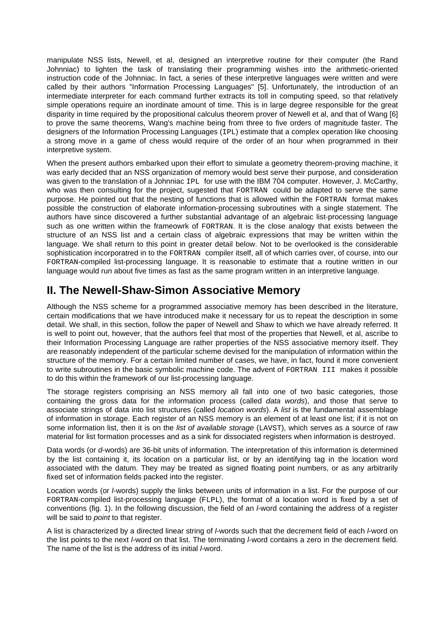manipulate NSS lists, Newell, et al, designed an interpretive routine for their computer (the Rand Johnniac) to lighten the task of translating their programming wishes into the arithmetic-oriented instruction code of the Johnniac. In fact, a series of these interpretive languages were written and were called by their authors "Information Processing Languages" [5]. Unfortunately, the introduction of an intermediate interpreter for each command further extracts its toll in computing speed, so that relatively simple operations require an inordinate amount of time. This is in large degree responsible for the great disparity in time required by the propositional calculus theorem prover of Newell et al, and that of Wang [6] to prove the same theorems, Wang's machine being from three to five orders of magnitude faster. The designers of the Information Processing Languages (IPL) estimate that a complex operation like choosing a strong move in a game of chess would require of the order of an hour when programmed in their interpretive system.

When the present authors embarked upon their effort to simulate a geometry theorem-proving machine, it was early decided that an NSS organization of memory would best serve their purpose, and consideration was given to the translation of a Johnniac IPL for use with the IBM 704 computer. However, J. McCarthy, who was then consulting for the project, sugested that FORTRAN could be adapted to serve the same purpose. He pointed out that the nesting of functions that is allowed within the FORTRAN format makes possible the construction of elaborate information-processing subroutines with a single statement. The authors have since discovered a further substantial advantage of an algebraic list-processing language such as one written within the frameowrk of FORTRAN. It is the close analogy that exists between the structure of an NSS list and a certain class of algebraic expressions that may be written within the language. We shall return to this point in greater detail below. Not to be overlooked is the considerable sophistication incorporatred in to the FORTRAN compiler itself, all of which carries over, of course, into our FORTRAN-compiled list-processing language. It is reasonable to estimate that a routine written in our language would run about five times as fast as the same program written in an interpretive language.

### **II. The Newell-Shaw-Simon Associative Memory**

Although the NSS scheme for a programmed associative memory has been described in the literature, certain modifications that we have introduced make it necessary for us to repeat the description in some detail. We shall, in this section, follow the paper of Newell and Shaw to which we have already referred. It is well to point out, however, that the authors feel that most of the properties that Newell, et al, ascribe to their Information Processing Language are rather properties of the NSS associative memory itself. They are reasonably independent of the particular scheme devised for the manipulation of information within the structure of the memory. For a certain limited number of cases, we have, in fact, found it more convenient to write subroutines in the basic symbolic machine code. The advent of FORTRAN III makes it possible to do this within the framework of our list-processing language.

The storage registers comprising an NSS memory all fall into one of two basic categories, those containing the gross data for the information process (called data words), and those that serve to associate strings of data into list structures (called *location words*). A *list* is the fundamental assemblage of information in storage. Each register of an NSS memory is an element of at least one list; if it is not on some information list, then it is on the *list of available storage* (LAVST), which serves as a source of raw material for list formation processes and as a sink for dissociated registers when information is destroyed.

Data words (or d-words) are 36-bit units of information. The interpretation of this information is determined by the list containing it, its location on a particular list, or by an identifying tag in the location word associated with the datum. They may be treated as signed floating point numbers, or as any arbitrarily fixed set of information fields packed into the register.

Location words (or *l*-words) supply the links between units of information in a list. For the purpose of our FORTRAN-compiled list-processing language (FLPL), the format of a location word is fixed by a set of conventions (fig. 1). In the following discussion, the field of an l-word containing the address of a register will be said to *point* to that register.

A list is characterized by a directed linear string of *I*-words such that the decrement field of each *I*-word on the list points to the next *l*-word on that list. The terminating *l*-word contains a zero in the decrement field. The name of the list is the address of its initial *I*-word.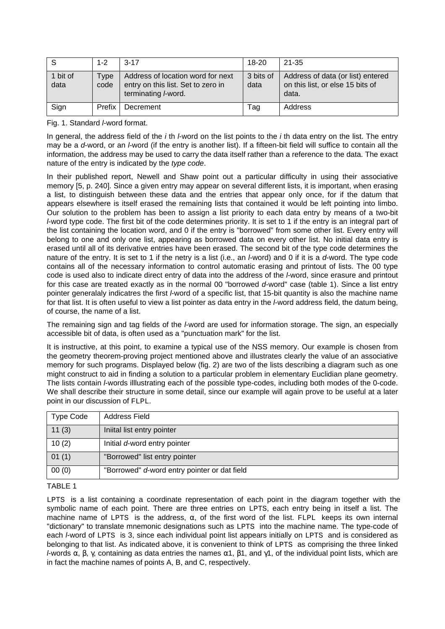| -S               | $1 - 2$      | $3 - 17$                                                                                       | $18 - 20$         | 21-35                                                                          |
|------------------|--------------|------------------------------------------------------------------------------------------------|-------------------|--------------------------------------------------------------------------------|
| 1 bit of<br>data | Type<br>code | Address of location word for next<br>entry on this list. Set to zero in<br>terminating I-word. | 3 bits of<br>data | Address of data (or list) entered<br>on this list, or else 15 bits of<br>data. |
| Sign             | Prefix       | Decrement                                                                                      | Tag               | Address                                                                        |

Fig. 1. Standard *I*-word format.

In general, the address field of the  $i$  th *l*-word on the list points to the  $i$  th data entry on the list. The entry may be a d-word, or an *I*-word (if the entry is another list). If a fifteen-bit field will suffice to contain all the information, the address may be used to carry the data itself rather than a reference to the data. The exact nature of the entry is indicated by the type code.

In their published report, Newell and Shaw point out a particular difficulty in using their associative memory [5, p. 240]. Since a given entry may appear on several different lists, it is important, when erasing a list, to distinguish between these data and the entries that appear only once, for if the datum that appears elsewhere is itself erased the remaining lists that contained it would be left pointing into limbo. Our solution to the problem has been to assign a list priority to each data entry by means of a two-bit l-word type code. The first bit of the code determines priority. It is set to 1 if the entry is an integral part of the list containing the location word, and 0 if the entry is "borrowed" from some other list. Every entry will belong to one and only one list, appearing as borrowed data on every other list. No initial data entry is erased until all of its derivative entries have been erased. The second bit of the type code determines the nature of the entry. It is set to 1 if the netry is a list (i.e., an *I*-word) and 0 if it is a *d*-word. The type code contains all of the necessary information to control automatic erasing and printout of lists. The 00 type code is used also to indicate direct entry of data into the address of the l-word, since erasure and printout for this case are treated exactly as in the normal 00 "borrowed d-word" case (table 1). Since a list entry pointer generalaly indicatres the first *l*-word of a specific list, that 15-bit quantity is also the machine name for that list. It is often useful to view a list pointer as data entry in the *I*-word address field, the datum being, of course, the name of a list.

The remaining sign and tag fields of the *l*-word are used for information storage. The sign, an especially accessible bit of data, is often used as a "punctuation mark" for the list.

It is instructive, at this point, to examine a typical use of the NSS memory. Our example is chosen from the geometry theorem-proving project mentioned above and illustrates clearly the value of an associative memory for such programs. Displayed below (fig. 2) are two of the lists describing a diagram such as one might construct to aid in finding a solution to a particular problem in elementary Euclidian plane geometry. The lists contain *I*-words illlustrating each of the possible type-codes, including both modes of the 0-code. We shall describe their structure in some detail, since our example will again prove to be useful at a later point in our discussion of FLPL.

| <b>Type Code</b> | Address Field                                |  |
|------------------|----------------------------------------------|--|
| 11(3)            | Iniital list entry pointer                   |  |
| 10(2)            | Initial d-word entry pointer                 |  |
| 01(1)            | "Borrowed" list entry pointer                |  |
| 00(0)            | "Borrowed" d-word entry pointer or dat field |  |

#### TABLE 1

LPTS is a list containing a coordinate representation of each point in the diagram together with the symbolic name of each point. There are three entries on LPTS, each entry being in itself a list. The machine name of LPTS is the address,  $\alpha$ , of the first word of the list. FLPL keeps its own internal "dictionary" to translate mnemonic designations such as LPTS into the machine name. The type-code of each *I*-word of LPTS is 3, since each individual point list appears initially on LPTS and is considered as belonging to that list. As indicated above, it is convenient to think of LPTS as comprising the three linked l-words α, β, γ, containing as data entries the names α1, β1, and γ1, of the individual point lists, which are in fact the machine names of points A, B, and C, respectively.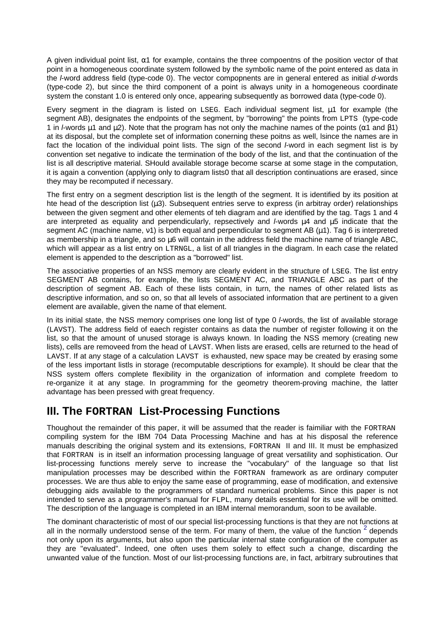A given individual point list,  $\alpha$ 1 for example, contains the three compoentns of the position vector of that point in a homogeneous coordinate system followed by the symbolic name of the point entered as data in the *l*-word address field (type-code 0). The vector compopnents are in general entered as initial d-words (type-code 2), but since the third component of a point is always unity in a homogeneous coordinate system the constant 1.0 is entered only once, appearing subsequently as borrowed data (type-code 0).

Every segment in the diagram is listed on LSEG. Each individual segment list, µ1 for example (the segment AB), designates the endpoints of the segment, by "borrowing" the points from LPTS (type-code 1 in *l*-words  $\mu$ 1 and  $\mu$ 2). Note that the program has not only the machine names of the points ( $\alpha$ 1 and  $\beta$ 1) at its disposal, but the complete set of information conerning these poitns as well, lsince the names are in fact the location of the individual point lists. The sign of the second *I*-word in each segment list is by convention set negative to indicate the termination of the body of the list, and that the continuation of the list is all descriptive material. SHould available storage become scarse at some stage in the computation, it is again a convention (applying only to diagram lists0 that all description continuations are erased, since they may be recomputed if necessary.

The first entry on a segment description list is the length of the segment. It is identified by its position at hte head of the description list  $(\mu 3)$ . Subsequent entries serve to express (in arbitray order) relationships between the given segment and other elements of teh diagram and are identified by the tag. Tags 1 and 4 are interpreted as equality and perpendicularly, repsectively and  $L$ words  $\mu$ 4 and  $\mu$ 5 indicate that the segment AC (machine name, ν1) is both equal and perpendicular to segment AB (µ1). Tag 6 is interpreted as membership in a triangle, and so µ6 will contain in the address field the machine name of triangle ABC, which will appear as a list entry on LTRNGL, a list of all triangles in the diagram. In each case the related element is appended to the description as a "borrowed" list.

The associative properties of an NSS memory are clearly evident in the structure of LSEG. The list entry SEGMENT AB contains, for example, the lists SEGMENT AC, and TRIANGLE ABC as part of the description of segment AB. Each of these lists contain, in turn, the names of other related lists as descriptive information, and so on, so that all levels of associated information that are pertinent to a given element are available, given the name of that element.

In its initial state, the NSS memory comprises one long list of type 0 *l*-words, the list of available storage (LAVST). The address field of eaech register contains as data the number of register following it on the list, so that the amount of unused storage is always known. In loading the NSS memory (creating new lists), cells are removeed from the head of LAVST. When lists are erased, cells are returned to the head of LAVST. If at any stage of a calculation LAVST is exhausted, new space may be created by erasing some of the less important listls in storage (recomputable descriptions for example). It should be clear that the NSS system offers complete flexibility in the organization of information and complete freedom to re-organize it at any stage. In programming for the geometry theorem-proving machine, the latter advantage has been pressed with great frequency.

#### **III. The FORTRAN List-Processing Functions**

Thoughout the remainder of this paper, it will be assumed that the reader is faimiliar with the FORTRAN compiling system for the IBM 704 Data Processing Machine and has at his disposal the reference manuals describing the original system and its extensions, FORTRAN II and III. It must be emphasized that FORTRAN is in itself an information processing language of great versatility and sophistication. Our list-processing functions merely serve to increase the "vocabulary" of the language so that list manipulation processes may be described within the FORTRAN framework as are ordinary computer processes. We are thus able to enjoy the same ease of programming, ease of modification, and extensive debugging aids available to the programmers of standard numerical problems. Since this paper is not intended to serve as a programmer's manual for FLPL, many details essential for its use will be omitted. The description of the language is completed in an IBM internal memorandum, soon to be available.

<span id="page-3-0"></span>The dominant characteristic of most of our special list-processing functions is that they are not functions at all in the normally understood sense of the term. For many of them, the value of the function  $2$  depends not only upon its arguments, but also upon the particular internal state configuration of the computer as they are "evaluated". Indeed, one often uses them solely to effect such a change, discarding the unwanted value of the function. Most of our list-processing functions are, in fact, arbitrary subroutines that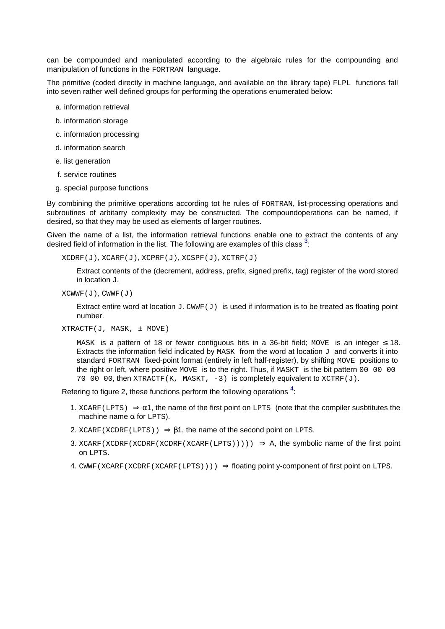can be compounded and manipulated according to the algebraic rules for the compounding and manipulation of functions in the FORTRAN language.

The primitive (coded directly in machine language, and available on the library tape) FLPL functions fall into seven rather well defined groups for performing the operations enumerated below:

- a. information retrieval
- b. information storage
- c. information processing
- d. information search
- e. list generation
- f. service routines
- g. special purpose functions

By combining the primitive operations according tot he rules of FORTRAN, list-processing operations and subroutines of arbitarry complexity may be constructed. The compoundoperations can be named, if desired, so that they may be used as elements of larger routines.

Given the name of a list, the information retrieval functions enable one to extract the contents of any desired field of information in the list. The following are examples of this class  $^3$  $^3$ :

 $XCDRF(J)$ ,  $XCARF(J)$ ,  $XCPRF(J)$ ,  $XCSPF(J)$ ,  $XCTRF(J)$ 

<span id="page-4-0"></span>Extract contents of the (decrement, address, prefix, signed prefix, tag) register of the word stored in location J.

```
XCWWF(J), CWWF(J)
```
Extract entire word at location  $J$ . CWWF( $J$ ) is used if information is to be treated as floating point number.

```
XTRACTF(J, MASK, ± MOVE)
```
<span id="page-4-1"></span>MASK is a pattern of 18 or fewer contiguous bits in a 36-bit field; MOVE is an integer  $\leq$  18. Extracts the information field indicated by MASK from the word at location  $J$  and converts it into standard FORTRAN fixed-point format (entirely in left half-register), by shifting MOVE positions to the right or left, where positive MOVE is to the right. Thus, if MASKT is the bit pattern 00 00 00 70 00 00, then  $XTRACTER(K, MASKT, -3)$  is completely equivalent to  $XCTRF(J)$ .

Refering to figure 2, these functions perform the following operations  $4$ :

- 1. XCARF(LPTS)  $\Rightarrow \alpha$ 1, the name of the first point on LPTS (note that the compiler susbtitutes the machine name  $\alpha$  for LPTS).
- 2. XCARF(XCDRF(LPTS))  $\Rightarrow$  81, the name of the second point on LPTS.
- 3. XCARF(XCDRF(XCDRF(XCDRF(XCARF(LPTS))))  $\Rightarrow$  A, the symbolic name of the first point on LPTS.
- 4. CWWF(XCARF(XCDRF(XCARF(LPTS))))  $\Rightarrow$  floating point y-component of first point on LTPS.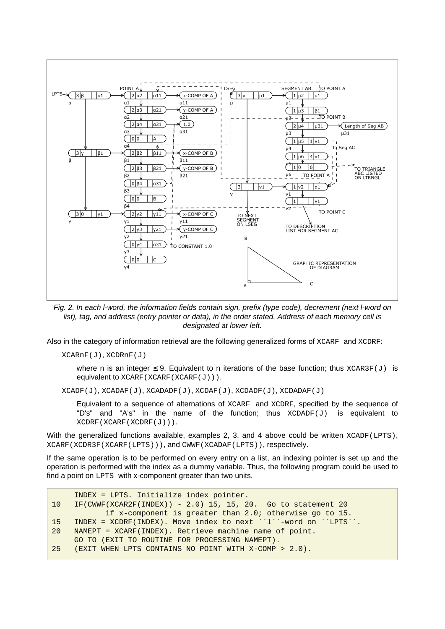

Fig. 2. In each l-word, the information fields contain sign, prefix (type code), decrement (next l-word on list), tag, and address (entry pointer or data), in the order stated. Address of each memory cell is designated at lower left.

Also in the category of information retrieval are the following generalized forms of XCARF and XCDRF:

XCARnF(J), XCDRnF(J)

where n is an integer  $\leq$  9. Equivalent to n iterations of the base function; thus  $XCAR3F(J)$  is equivalent to XCARF(XCARF(XCARF(J))).

 $XCADF(J)$ ,  $XCADAF(J)$ ,  $XCADADF(J)$ ,  $XCDAF(J)$ ,  $XCDADF(J)$ ,  $XCDADF(J)$ 

Equivalent to a sequence of alternations of XCARF and XCDRF, specified by the sequence of "D's" and "A's" in the name of the function; thus  $XCDADF(J)$  is equivalent to XCDRF(XCARF(XCDRF(J))).

With the generalized functions available, examples 2, 3, and 4 above could be written XCADF(LPTS), XCARF(XCDR3F(XCARF(LPTS))), and CWWF(XCADAF(LPTS)), respectively.

If the same operation is to be performed on every entry on a list, an indexing pointer is set up and the operation is performed with the index as a dummy variable. Thus, the following program could be used to find a point on LPTS with x-component greater than two units.

```
 INDEX = LPTS. Initialize index pointer.
10 IF(CWWF(XCAR2F(INDEX)) - 2.0) 15, 15, 20. Go to statement 20
            if x-component is greater than 2.0; otherwise go to 15.
15 INDEX = XCDRF(INDEX). Move index to next ``l``-word on ``LPTS``.
20 NAMEPT = XCARF(INDEX). Retrieve machine name of point.
     GO TO (EXIT TO ROUTINE FOR PROCESSING NAMEPT).
25 (EXIT WHEN LPTS CONTAINS NO POINT WITH X-COMP > 2.0).
```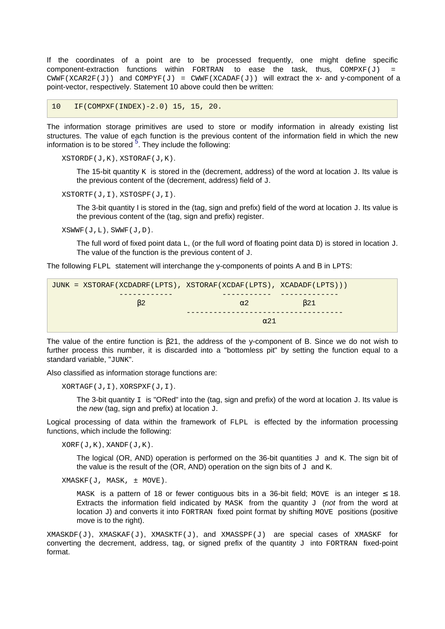If the coordinates of a point are to be processed frequently, one might define specific component-extraction functions within FORTRAN to ease the task, thus,  $COMPXF(J)$ CWWF(XCAR2F(J)) and COMPYF(J) = CWWF(XCADAF(J)) will extract the x- and y-component of a point-vector, respectively. Statement 10 above could then be written:

10 IF(COMPXF(INDEX)-2.0) 15, 15, 20.

The information storage primitives are used to store or modify information in already existing list structures. The value of each function is the previous content of the information field in which the new information is to be stored  $5$ . They include the following:

```
XSTORDF(J,K), XSTORAF(J,K).
```
<span id="page-6-0"></span>The 15-bit quantity  $K$  is stored in the (decrement, address) of the word at location  $J$ . Its value is the previous content of the (decrement, address) field of J.

XSTORTF(J,I), XSTOSPF(J,I).

The 3-bit quantity I is stored in the (tag, sign and prefix) field of the word at location  $J$ . Its value is the previous content of the (tag, sign and prefix) register.

XSWWF(J,L), SWWF(J,D).

The full word of fixed point data L, (or the full word of floating point data D) is stored in location J. The value of the function is the previous content of  $J$ .

The following FLPL statement will interchange the y-components of points A and B in LPTS:

| JUNK = XSTORAF(XCDADRF(LPTS), XSTORAF(XCDAF(LPTS), XCADADF(LPTS))) |            |     |  |
|--------------------------------------------------------------------|------------|-----|--|
|                                                                    | $\alpha$ 2 | B21 |  |
| $\alpha$ 21                                                        |            |     |  |
|                                                                    |            |     |  |

The value of the entire function is β21, the address of the y-component of B. Since we do not wish to further process this number, it is discarded into a "bottomless pit" by setting the function equal to a standard variable, "JUNK".

Also classified as information storage functions are:

XORTAGF(J,I), XORSPXF(J,I).

The 3-bit quantity  $I$  is "ORed" into the (tag, sign and prefix) of the word at location J. Its value is the new (tag, sign and prefix) at location  $J$ .

Logical processing of data within the framework of FLPL is effected by the information processing functions, which include the following:

 $XORF(J,K), XANDF(J,K).$ 

The logical (OR, AND) operation is performed on the 36-bit quantities  $J$  and K. The sign bit of the value is the result of the (OR, AND) operation on the sign bits of  $J$  and K.

XMASKF(J, MASK, ± MOVE).

MASK is a pattern of 18 or fewer contiguous bits in a 36-bit field; MOVE is an integer  $\leq$  18. Extracts the information field indicated by  $MASK$  from the quantity  $J$  (not from the word at location J) and converts it into FORTRAN fixed point format by shifting MOVE positions (positive move is to the right).

 $XMASKDF(J)$ ,  $XMASKAF(J)$ ,  $XMASKTF(J)$ , and  $XMASSPF(J)$  are special cases of  $XMASKF$  for converting the decrement, address, tag, or signed prefix of the quantity  $J$  into FORTRAN fixed-point format.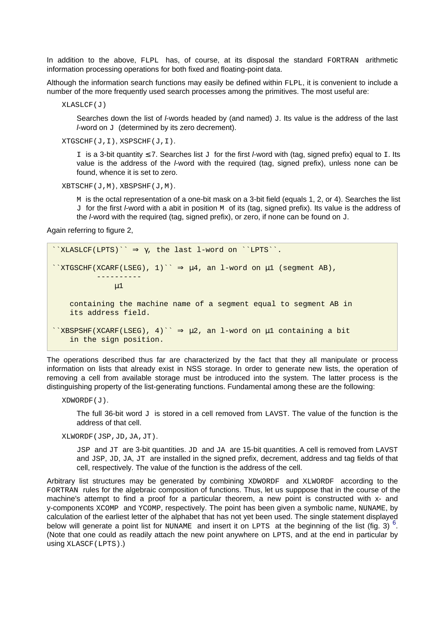In addition to the above, FLPL has, of course, at its disposal the standard FORTRAN arithmetic information processing operations for both fixed and floating-point data.

Although the information search functions may easily be defined within FLPL, it is convenient to include a number of the more frequently used search processes among the primitives. The most useful are:

XLASLCF(J)

Searches down the list of  $I$ -words headed by (and named)  $J$ . Its value is the address of the last l-word on J (determined by its zero decrement).

XTGSCHF(J,I), XSPSCHF(J,I).

I is a 3-bit quantity ≤ 7. Searches list J for the first *l*-word with (tag, signed prefix) equal to I. Its value is the address of the *l*-word with the required (tag, signed prefix), unless none can be found, whence it is set to zero.

XBTSCHF(J,M), XBSPSHF(J,M).

M is the octal representation of a one-bit mask on a 3-bit field (equals 1, 2, or 4). Searches the list J for the first *I*-word with a abit in position M of its (tag, signed prefix). Its value is the address of the *l*-word with the required (tag, signed prefix), or zero, if none can be found on  $J$ .

Again referring to figure 2,

```
\check{X}LASLCF(LPTS)\check{Y} \Rightarrow \gamma, the last l-word on \check{Y}LPTS\check{Y}.
``XTGSCHF(XCARF(LSEG), 1)`` \Rightarrow \mu 4, an l-word on \mu 1 (segment AB),
 ----------
                \mu1
     containing the machine name of a segment equal to segment AB in
     its address field.
``XBSPSHF(XCARF(LSEG), 4)`` \Rightarrow \mu2, an l-word on \mu1 containing a bit
     in the sign position.
```
The operations described thus far are characterized by the fact that they all manipulate or process information on lists that already exist in NSS storage. In order to generate new lists, the operation of removing a cell from available storage must be introduced into the system. The latter process is the distinguishing property of the list-generating functions. Fundamental among these are the following:

```
XDWORDF(J).
```
The full 36-bit word  $J$  is stored in a cell removed from LAVST. The value of the function is the address of that cell.

#### XLWORDF(JSP,JD,JA,JT).

<span id="page-7-0"></span>JSP and JT are 3-bit quantities. JD and JA are 15-bit quantities. A cell is removed from LAVST and JSP, JD, JA, JT are installed in the signed prefix, decrement, address and tag fields of that cell, respectively. The value of the function is the address of the cell.

Arbitrary list structures may be generated by combining XDWORDF and XLWORDF according to the FORTRAN rules for the algebraic composition of functions. Thus, let us supppose that in the course of the machine's attempt to find a proof for a particular theorem, a new point is constructed with x- and y-components XCOMP and YCOMP, respectively. The point has been given a symbolic name, NUNAME, by calculation of the earliest letter of the alphabet that has not yet been used. The single statement displayed below will generate a point list for NUNAME and insert it on LPTS at the beginning of the list (fig. 3)  $^6$  $^6$ . (Note that one could as readily attach the new point anywhere on LPTS, and at the end in particular by using XLASCF(LPTS).)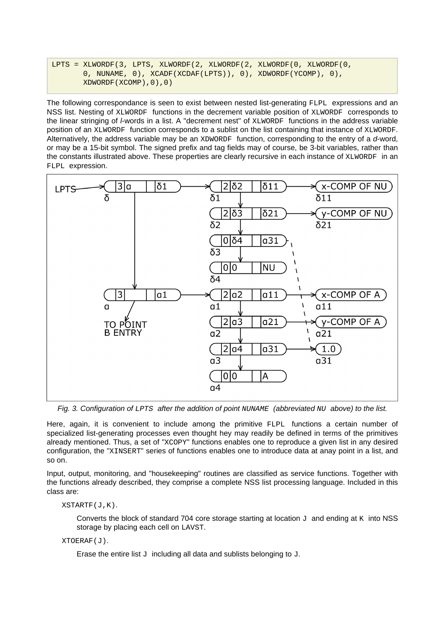LPTS = XLWORDF(3, LPTS, XLWORDF(2, XLWORDF(2, XLWORDF(0, XLWORDF(0, 0, NUNAME, 0), XCADF(XCDAF(LPTS)), 0), XDWORDF(YCOMP), 0), XDWORDF(XCOMP),0),0)

The following correspondance is seen to exist between nested list-generating FLPL expressions and an NSS list. Nesting of XLWORDF functions in the decrement variable position of XLWORDF corresponds to the linear stringing of *I*-words in a list. A "decrement nest" of XLWORDF functions in the address variable position of an XLWORDF function corresponds to a sublist on the list containing that instance of XLWORDF. Alternatively, the address variable may be an XDWORDF function, corresponding to the entry of a d-word, or may be a 15-bit symbol. The signed prefix and tag fields may of course, be 3-bit variables, rather than the constants illustrated above. These properties are clearly recursive in each instance of XLWORDF in an FLPL expression.



Fig. 3. Configuration of LPTS after the addition of point NUNAME (abbreviated NU above) to the list.

Here, again, it is convenient to include among the primitive FLPL functions a certain number of specialized list-generating processes even thought hey may readily be defined in terms of the primitives already mentioned. Thus, a set of "XCOPY" functions enables one to reproduce a given list in any desired configuration, the "XINSERT" series of functions enables one to introduce data at anay point in a list, and so on.

Input, output, monitoring, and "housekeeping" routines are classified as service functions. Together with the functions already described, they comprise a complete NSS list processing language. Included in this class are:

XSTARTF(J,K).

Converts the block of standard 704 core storage starting at location  $J$  and ending at K into NSS storage by placing each cell on LAVST.

XTOERAF(J).

Erase the entire list  $J$  including all data and sublists belonging to  $J$ .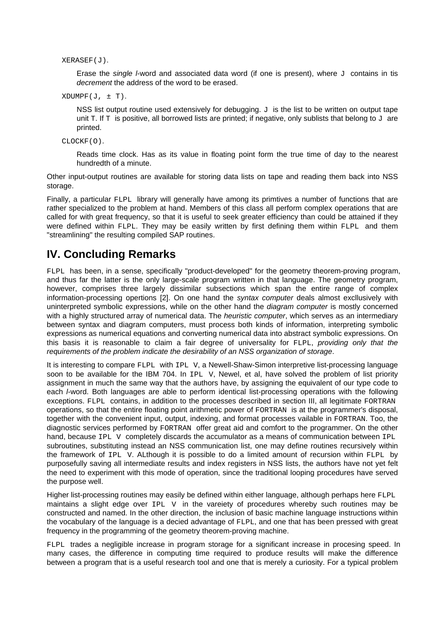XERASEF(J).

Erase the single I-word and associated data word (if one is present), where  $J$  contains in tis decrement the address of the word to be erased.

 $X$ DUMPF $(J, \pm T)$ .

NSS list output routine used extensively for debugging.  $J$  is the list to be written on output tape unit T. If T is positive, all borrowed lists are printed; if negative, only sublists that belong to  $J$  are printed.

CLOCKF(O).

Reads time clock. Has as its value in floating point form the true time of day to the nearest hundredth of a minute.

Other input-output routines are available for storing data lists on tape and reading them back into NSS storage.

Finally, a particular FLPL library will generally have among its primtives a number of functions that are rather specialized to the problem at hand. Members of this class all perform complex operations that are called for with great frequency, so that it is useful to seek greater efficiency than could be attained if they were defined within FLPL. They may be easily written by first defining them within FLPL and them "streamlining" the resulting compiled SAP routines.

#### **IV. Concluding Remarks**

FLPL has been, in a sense, specifically "product-developed" for the geometry theorem-proving program, and thus far the latter is the only large-scale program written in that language. The geometry program, however, comprises three largely dissimilar subsections which span the entire range of complex information-processing opertions [2]. On one hand the syntax computer deals almost excllusively with uninterpreted symbolic expressions, while on the other hand the diagram computer is mostly concerned with a highly structured array of numerical data. The *heuristic computer*, which serves as an intermediary between syntax and diagram computers, must process both kinds of information, interpreting symbolic expressions as numerical equations and converting numerical data into abstract symbolic expressions. On this basis it is reasonable to claim a fair degree of universality for FLPL, providing only that the requirements of the problem indicate the desirability of an NSS organization of storage.

It is interesting to compare FLPL with IPL V, a Newell-Shaw-Simon interpretive list-processing language soon to be available for the IBM 704. In IPL V, Newel, et al, have solved the problem of list priority assignment in much the same way that the authors have, by assigning the equivalent of our type code to each *I*-word. Both languages are able to perform identical list-processing operations with the following exceptions. FLPL contains, in addition to the processes described in section III, all legitimate FORTRAN operations, so that the entire floating point arithmetic power of FORTRAN is at the programmer's disposal, together with the convenient input, output, indexing, and format processes vailable in FORTRAN. Too, the diagnostic services performed by FORTRAN offer great aid and comfort to the programmer. On the other hand, because IPL V completely discards the accumulator as a means of communication between IPL subroutines, substituting instead an NSS communication list, one may define routines recursively within the framework of IPL V. ALthough it is possible to do a limited amount of recursion within FLPL by purposefully saving all intermediate results and index registers in NSS lists, the authors have not yet felt the need to experiment with this mode of operation, since the traditional looping procedures have served the purpose well.

Higher list-processing routines may easily be defined within either language, although perhaps here FLPL maintains a slight edge over  $IPL$  v in the vareiety of procedures whereby such routines may be constructed and named. In the other direction, the inclusion of basic machine language instructions within the vocabulary of the language is a decied advantage of FLPL, and one that has been pressed with great frequency in the programming of the geometry theorem-proving machine.

FLPL trades a negligible increase in program storage for a significant increase in procesing speed. In many cases, the difference in computing time required to produce results will make the difference between a program that is a useful research tool and one that is merely a curiosity. For a typical problem